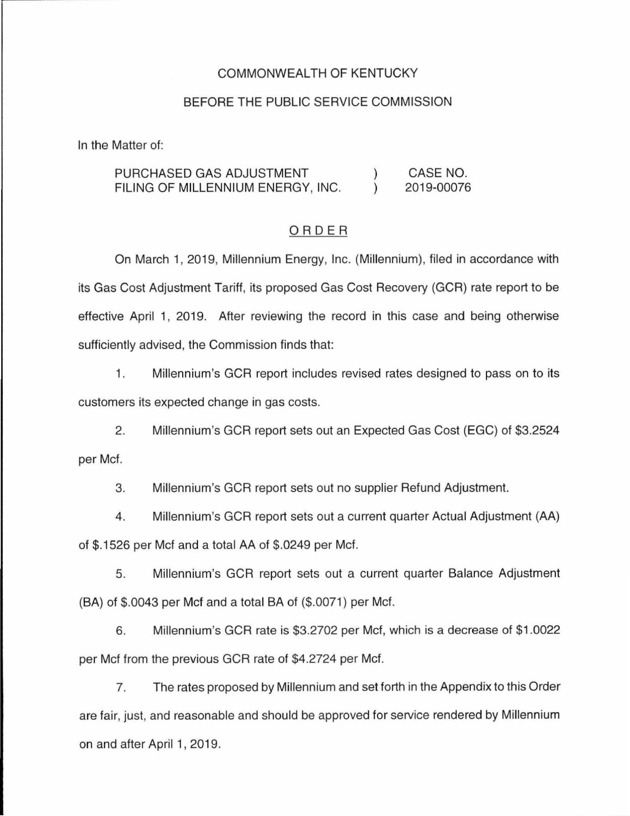#### COMMONWEALTH OF KENTUCKY

### BEFORE THE PUBLIC SERVICE COMMISSION

In the Matter of:

PURCHASED GAS ADJUSTMENT CASE NO.  $\mathcal{L}$  $\lambda$ FILING OF MILLENNIUM ENERGY, INC. 2019-00076

#### ORDER

On March 1, 2019, Millennium Energy, Inc. (Millennium), filed in accordance with its Gas Cost Adjustment Tariff, its proposed Gas Cost Recovery (GCR) rate report to be effective April 1, 2019. After reviewing the record in this case and being otherwise sufficiently advised, the Commission finds that:

1. Millennium's GCR report includes revised rates designed to pass on to its customers its expected change in gas costs.

2. Millennium's GCR report sets out an Expected Gas Cost (EGC) of \$3.2524 per Met.

3. Millennium's GCR report sets out no supplier Refund Adjustment.

4. Millennium's GCR report sets out a current quarter Actual Adjustment (AA) of \$.1526 per Met and a total AA of \$.0249 per Met.

5. Millennium's GCR report sets out a current quarter Balance Adjustment (BA) of \$.0043 per Met and a total BA of (\$.0071) per Met.

6. Millennium's GCR rate is \$3.2702 per Met, which is a decrease of \$1.0022 per Met from the previous GCR rate of \$4.2724 per Met.

7. The rates proposed by Millennium and set forth in the Appendix to this Order are fair, just, and reasonable and should be approved for service rendered by Millennium on and after April 1, 2019.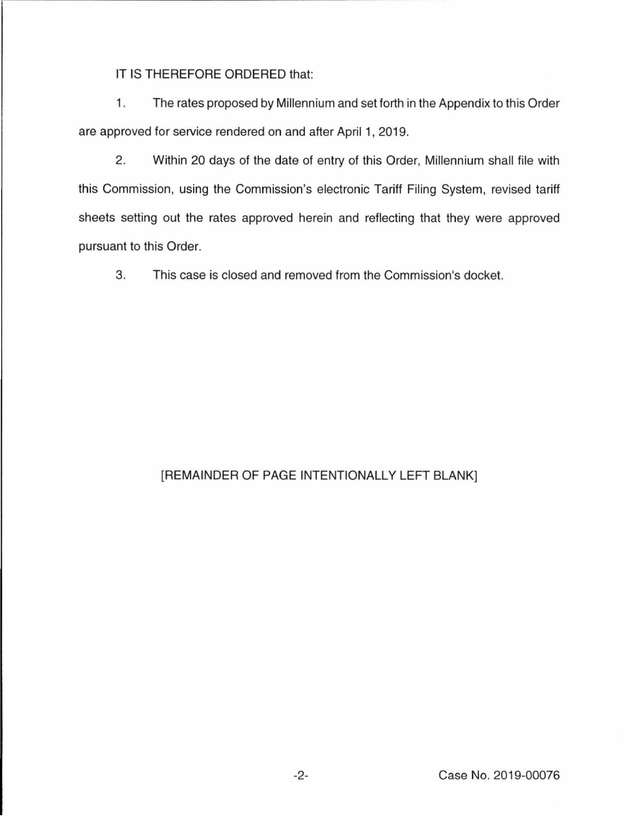IT IS THEREFORE ORDERED that:

1. The rates proposed by Millennium and set forth in the Appendix to this Order are approved for service rendered on and after April 1, 2019.

2. Within 20 days of the date of entry of this Order, Millennium shall file with this Commission, using the Commission's electronic Tariff Filing System, revised tariff sheets setting out the rates approved herein and reflecting that they were approved pursuant to this Order.

3. This case is closed and removed from the Commission's docket.

## [REMAINDER OF PAGE INTENTIONALLY LEFT BLANK]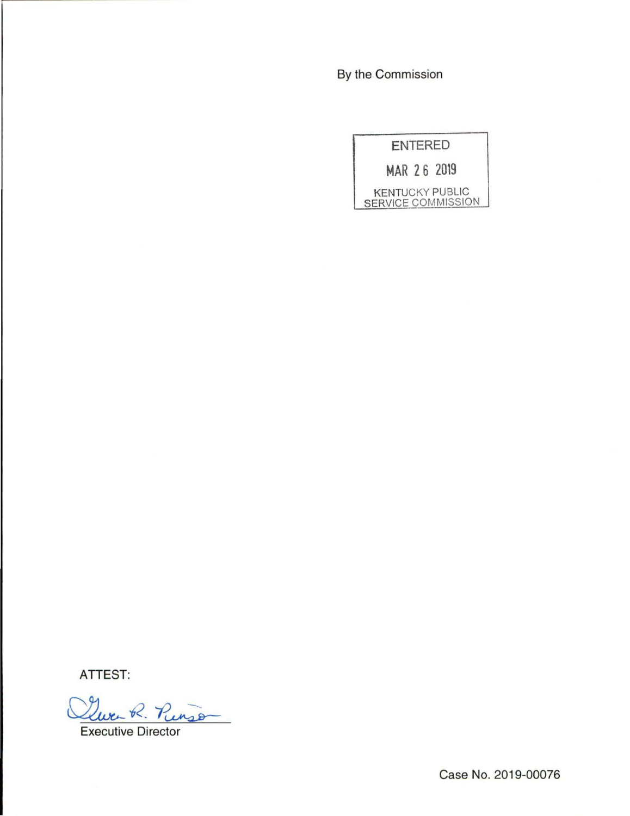By the Commission

| <b>ENTERED</b>     |  |                        |  |  |  |
|--------------------|--|------------------------|--|--|--|
| MAR 26 2019        |  |                        |  |  |  |
| SERVICE COMMISSION |  | <b>KENTUCKY PUBLIC</b> |  |  |  |

**ATTEST:** 

Que R. Pinso

Executive Director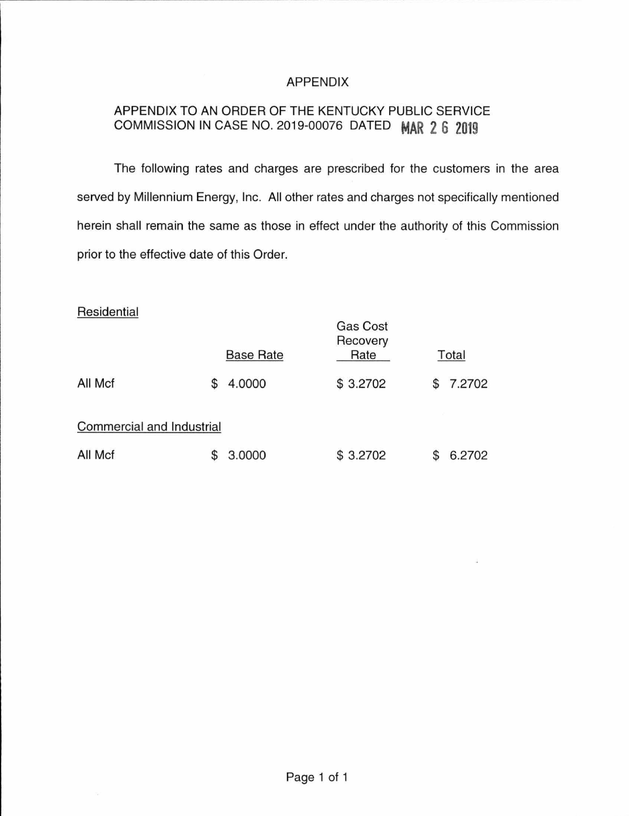### APPENDIX

# APPENDIX TO AN ORDER OF THE KENTUCKY PUBLIC SERVICE COMMISSION IN CASE NO. 2019-00076 DATED **MAR 2 6 2019**

The following rates and charges are prescribed for the customers in the area served by Millennium Energy, Inc. All other rates and charges not specifically mentioned herein shall remain the same as those in effect under the authority of this Commission prior to the effective date of this Order.

### **Residential**

|                           |  | <b>Base Rate</b> | <b>Gas Cost</b><br>Recovery<br>Rate |   | Total  |  |  |
|---------------------------|--|------------------|-------------------------------------|---|--------|--|--|
| All Mcf                   |  | 4.0000           | \$3.2702                            | S | 7.2702 |  |  |
| Commercial and Industrial |  |                  |                                     |   |        |  |  |
| All Mcf                   |  | 3.0000           | \$3.2702                            |   | 6.2702 |  |  |